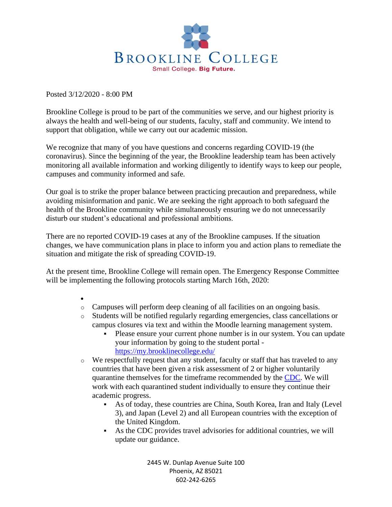

Posted 3/12/2020 - 8:00 PM

Brookline College is proud to be part of the communities we serve, and our highest priority is always the health and well-being of our students, faculty, staff and community. We intend to support that obligation, while we carry out our academic mission.

We recognize that many of you have questions and concerns regarding COVID-19 (the coronavirus). Since the beginning of the year, the Brookline leadership team has been actively monitoring all available information and working diligently to identify ways to keep our people, campuses and community informed and safe.

Our goal is to strike the proper balance between practicing precaution and preparedness, while avoiding misinformation and panic. We are seeking the right approach to both safeguard the health of the Brookline community while simultaneously ensuring we do not unnecessarily disturb our student's educational and professional ambitions.

There are no reported COVID-19 cases at any of the Brookline campuses. If the situation changes, we have communication plans in place to inform you and action plans to remediate the situation and mitigate the risk of spreading COVID-19.

At the present time, Brookline College will remain open. The Emergency Response Committee will be implementing the following protocols starting March 16th, 2020:

- •
- o Campuses will perform deep cleaning of all facilities on an ongoing basis.
- o Students will be notified regularly regarding emergencies, class cancellations or campus closures via text and within the Moodle learning management system.
	- Please ensure your current phone number is in our system. You can update your information by going to the student portal <https://my.brooklinecollege.edu/>
- o We respectfully request that any student, faculty or staff that has traveled to any countries that have been given a risk assessment of 2 or higher voluntarily quarantine themselves for the timeframe recommended by the [CDC.](https://www.cdc.gov/quarantine/aboutlawsregulationsquarantineisolation.html) We will work with each quarantined student individually to ensure they continue their academic progress.
	- As of today, these countries are China, South Korea, Iran and Italy (Level) 3), and Japan (Level 2) and all European countries with the exception of the United Kingdom.
	- As the CDC provides travel advisories for additional countries, we will update our guidance.

2445 W. Dunlap Avenue Suite 100 Phoenix, AZ 85021 602-242-6265